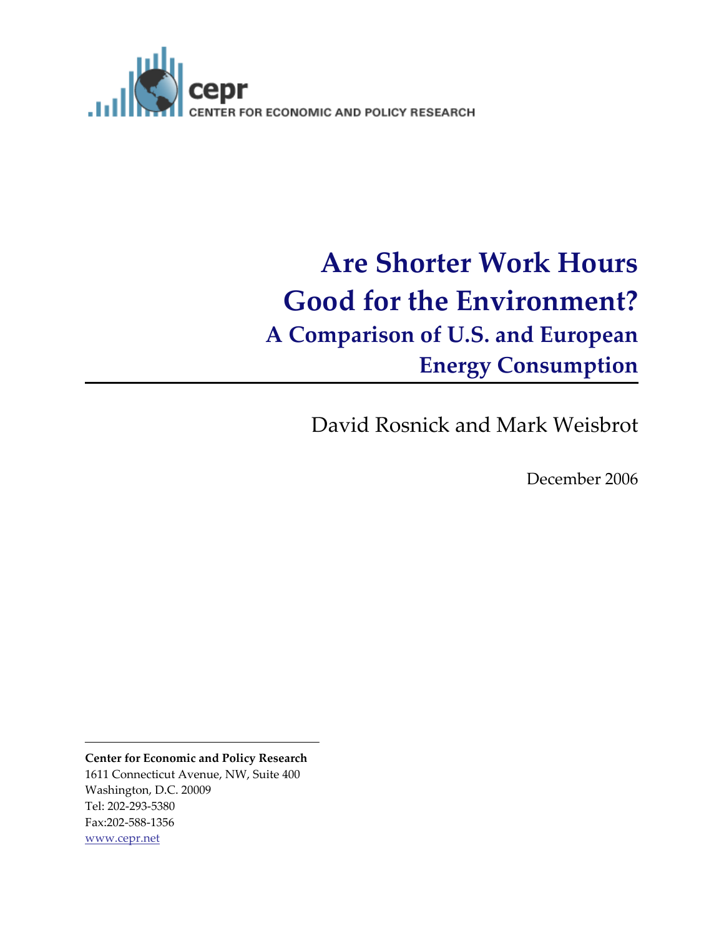

# **Are Shorter Work Hours Good for the Environment? A Comparison of U.S. and European Energy Consumption**

David Rosnick and Mark Weisbrot

December 2006

**Center for Economic and Policy Research** 1611 Connecticut Avenue, NW, Suite 400 Washington, D.C. 20009 Tel: 202‐293‐5380 Fax:202‐588‐1356 www.cepr.net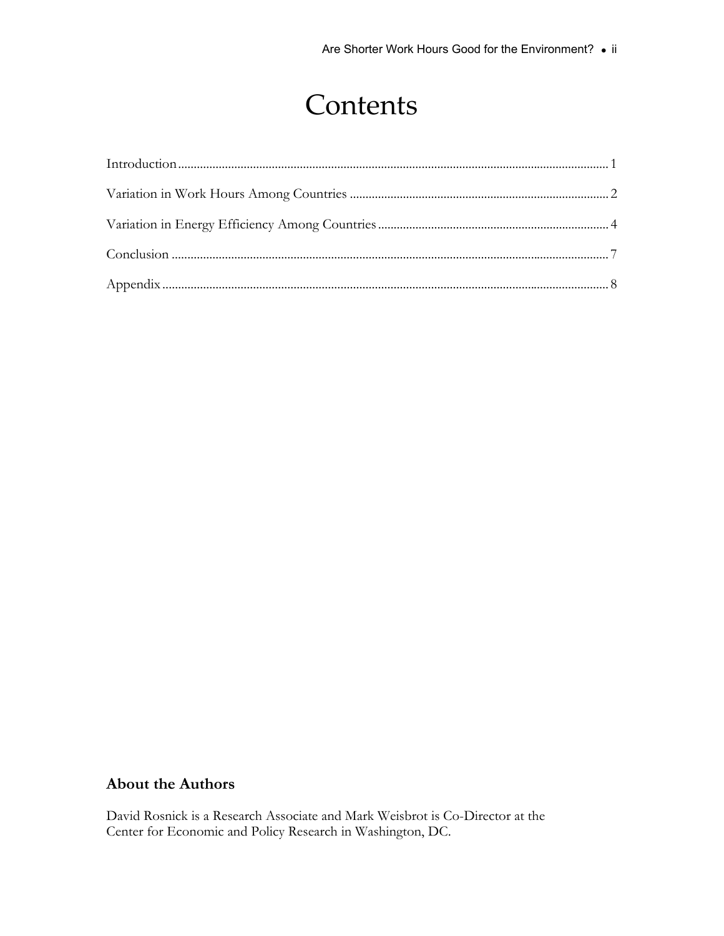## **Contents**

### **About the Authors**

David Rosnick is a Research Associate and Mark Weisbrot is Co-Director at the Center for Economic and Policy Research in Washington, DC.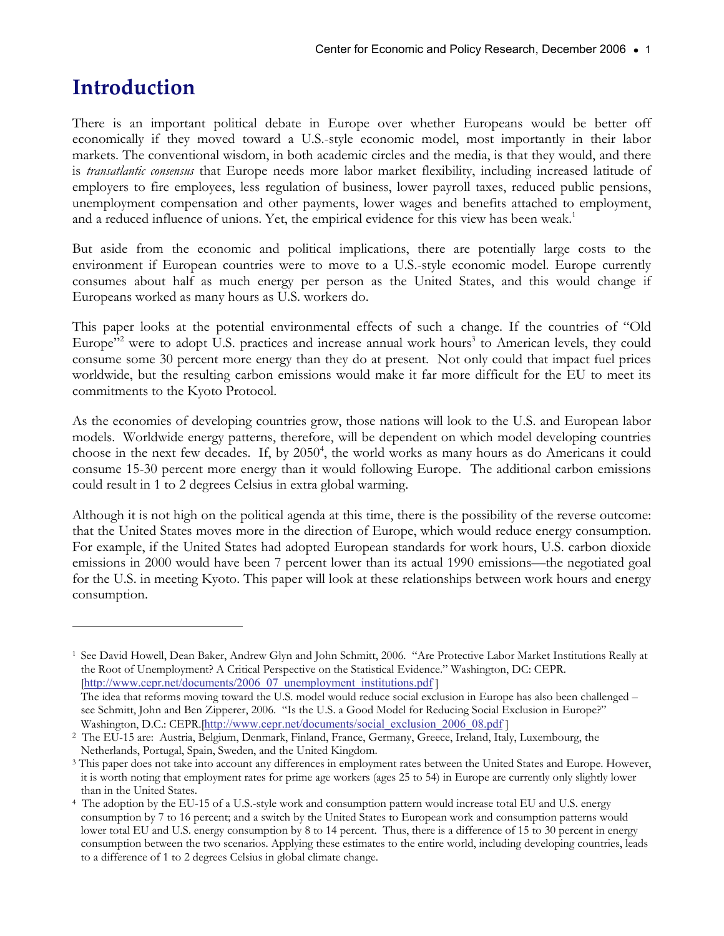### <span id="page-2-0"></span>**Introduction**

 $\overline{a}$ 

There is an important political debate in Europe over whether Europeans would be better off economically if they moved toward a U.S.-style economic model, most importantly in their labor markets. The conventional wisdom, in both academic circles and the media, is that they would, and there is *transatlantic consensus* that Europe needs more labor market flexibility, including increased latitude of employers to fire employees, less regulation of business, lower payroll taxes, reduced public pensions, unemployment compensation and other payments, lower wages and benefits attached to employment, and a reduced influence of unions. Yet, the empirical evidence for this view has been weak.<sup>1</sup>

But aside from the economic and political implications, there are potentially large costs to the environment if European countries were to move to a U.S.-style economic model. Europe currently consumes about half as much energy per person as the United States, and this would change if Europeans worked as many hours as U.S. workers do.

This paper looks at the potential environmental effects of such a change. If the countries of "Old Europe<sup>3,2</sup> were to adopt U.S. practices and increase annual work hours<sup>3</sup> to American levels, they could consume some 30 percent more energy than they do at present. Not only could that impact fuel prices worldwide, but the resulting carbon emissions would make it far more difficult for the EU to meet its commitments to the Kyoto Protocol.

As the economies of developing countries grow, those nations will look to the U.S. and European labor models. Worldwide energy patterns, therefore, will be dependent on which model developing countries choose in the next few decades. If, by 2050<sup>4</sup>, the world works as many hours as do Americans it could consume 15-30 percent more energy than it would following Europe. The additional carbon emissions could result in 1 to 2 degrees Celsius in extra global warming.

Although it is not high on the political agenda at this time, there is the possibility of the reverse outcome: that the United States moves more in the direction of Europe, which would reduce energy consumption. For example, if the United States had adopted European standards for work hours, U.S. carbon dioxide emissions in 2000 would have been 7 percent lower than its actual 1990 emissions—the negotiated goal for the U.S. in meeting Kyoto. This paper will look at these relationships between work hours and energy consumption.

<sup>1</sup> See David Howell, Dean Baker, Andrew Glyn and John Schmitt, 2006. "Are Protective Labor Market Institutions Really at the Root of Unemployment? A Critical Perspective on the Statistical Evidence." Washington, DC: CEPR. [http://www.cepr.net/documents/2006\_07\_unemployment\_institutions.pdf ] The idea that reforms moving toward the U.S. model would reduce social exclusion in Europe has also been challenged – see Schmitt, John and Ben Zipperer, 2006. "Is the U.S. a Good Model for Reducing Social Exclusion in Europe?"

Washington, D.C.: CEPR.[http://www.cepr.net/documents/social\_exclusion\_2006\_08.pdf]<br><sup>2</sup> The EU-15 are: Austria, Belgium, Denmark, Finland, France, Germany, Greece, Ireland, Italy, Luxembourg, the

Netherlands, Portugal, Spain, Sweden, and the United Kingdom.<br><sup>3</sup> This paper does not take into account any differences in employment rates between the United States and Europe. However, it is worth noting that employment rates for prime age workers (ages 25 to 54) in Europe are currently only slightly lower than in the United States.

<sup>4</sup> The adoption by the EU-15 of a U.S.-style work and consumption pattern would increase total EU and U.S. energy consumption by 7 to 16 percent; and a switch by the United States to European work and consumption patterns would lower total EU and U.S. energy consumption by 8 to 14 percent. Thus, there is a difference of 15 to 30 percent in energy consumption between the two scenarios. Applying these estimates to the entire world, including developing countries, leads to a difference of 1 to 2 degrees Celsius in global climate change.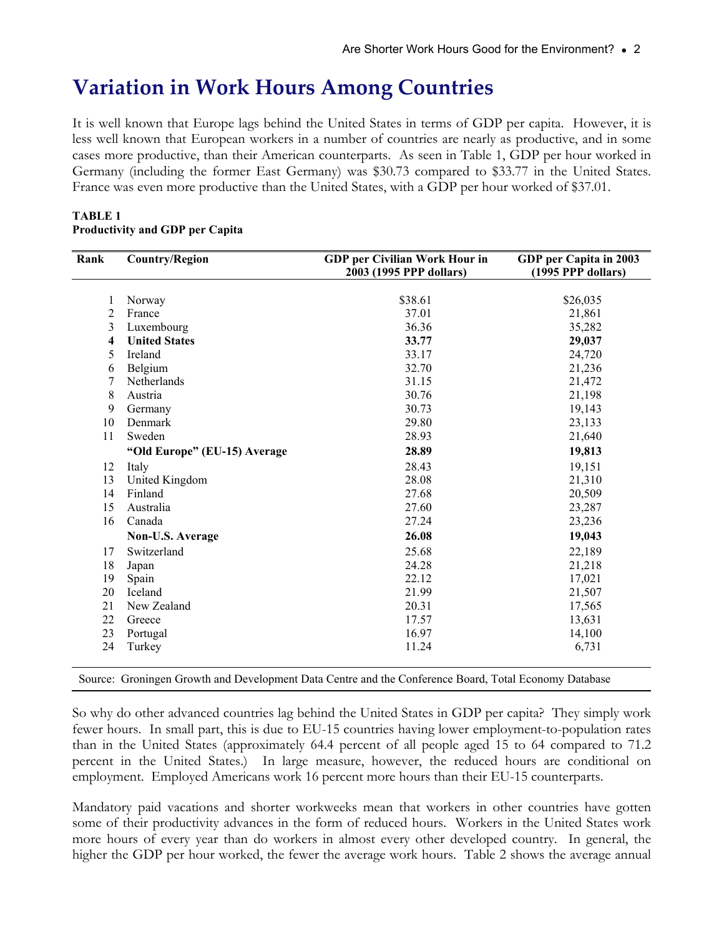### <span id="page-3-0"></span>**Variation in Work Hours Among Countries**

It is well known that Europe lags behind the United States in terms of GDP per capita. However, it is less well known that European workers in a number of countries are nearly as productive, and in some cases more productive, than their American counterparts. As seen in Table 1, GDP per hour worked in Germany (including the former East Germany) was \$30.73 compared to \$33.77 in the United States. France was even more productive than the United States, with a GDP per hour worked of \$37.01.

| Rank | <b>Country/Region</b>        | GDP per Civilian Work Hour in | GDP per Capita in 2003 |
|------|------------------------------|-------------------------------|------------------------|
|      |                              | 2003 (1995 PPP dollars)       | (1995 PPP dollars)     |
|      |                              |                               |                        |
| 1    | Norway                       | \$38.61                       | \$26,035               |
| 2    | France                       | 37.01                         | 21,861                 |
| 3    | Luxembourg                   | 36.36                         | 35,282                 |
| 4    | <b>United States</b>         | 33.77                         | 29,037                 |
| 5    | Ireland                      | 33.17                         | 24,720                 |
| 6    | Belgium                      | 32.70                         | 21,236                 |
| 7    | Netherlands                  | 31.15                         | 21,472                 |
| 8    | Austria                      | 30.76                         | 21,198                 |
| 9    | Germany                      | 30.73                         | 19,143                 |
| 10   | Denmark                      | 29.80                         | 23,133                 |
| 11   | Sweden                       | 28.93                         | 21,640                 |
|      | "Old Europe" (EU-15) Average | 28.89                         | 19,813                 |
| 12   | Italy                        | 28.43                         | 19,151                 |
| 13   | United Kingdom               | 28.08                         | 21,310                 |
| 14   | Finland                      | 27.68                         | 20,509                 |
| 15   | Australia                    | 27.60                         | 23,287                 |
| 16   | Canada                       | 27.24                         | 23,236                 |
|      | Non-U.S. Average             | 26.08                         | 19,043                 |
| 17   | Switzerland                  | 25.68                         | 22,189                 |
| 18   | Japan                        | 24.28                         | 21,218                 |
| 19   | Spain                        | 22.12                         | 17,021                 |
| 20   | Iceland                      | 21.99                         | 21,507                 |
| 21   | New Zealand                  | 20.31                         | 17,565                 |
| 22   | Greece                       | 17.57                         | 13,631                 |
| 23   | Portugal                     | 16.97                         | 14,100                 |
| 24   | Turkey                       | 11.24                         | 6,731                  |

#### **TABLE 1 Productivity and GDP per Capita**

Source: Groningen Growth and Development Data Centre and the Conference Board, Total Economy Database

So why do other advanced countries lag behind the United States in GDP per capita? They simply work fewer hours. In small part, this is due to EU-15 countries having lower employment-to-population rates than in the United States (approximately 64.4 percent of all people aged 15 to 64 compared to 71.2 percent in the United States.) In large measure, however, the reduced hours are conditional on employment. Employed Americans work 16 percent more hours than their EU-15 counterparts.

Mandatory paid vacations and shorter workweeks mean that workers in other countries have gotten some of their productivity advances in the form of reduced hours. Workers in the United States work more hours of every year than do workers in almost every other developed country. In general, the higher the GDP per hour worked, the fewer the average work hours. Table 2 shows the average annual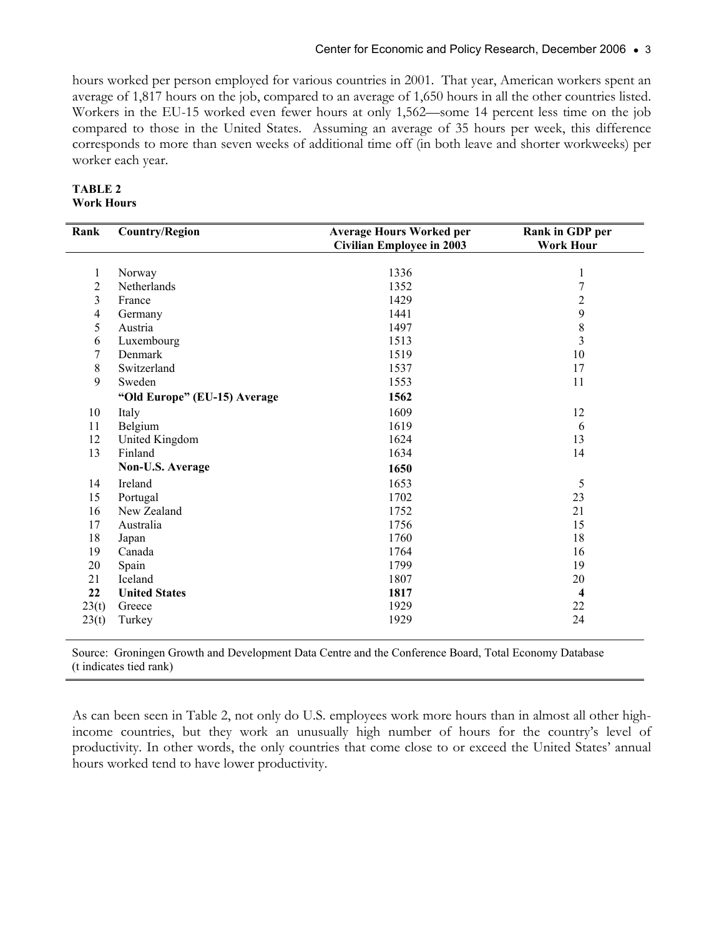hours worked per person employed for various countries in 2001. That year, American workers spent an average of 1,817 hours on the job, compared to an average of 1,650 hours in all the other countries listed. Workers in the EU-15 worked even fewer hours at only 1,562—some 14 percent less time on the job compared to those in the United States. Assuming an average of 35 hours per week, this difference corresponds to more than seven weeks of additional time off (in both leave and shorter workweeks) per worker each year.

| TABLE 2           |
|-------------------|
| <b>Work Hours</b> |

| Rank                    | <b>Country/Region</b>        | <b>Average Hours Worked per</b><br><b>Civilian Employee in 2003</b> | Rank in GDP per<br><b>Work Hour</b> |
|-------------------------|------------------------------|---------------------------------------------------------------------|-------------------------------------|
|                         |                              |                                                                     |                                     |
| 1                       | Norway                       | 1336                                                                | 1                                   |
| $\overline{2}$          | Netherlands                  | 1352                                                                | 7                                   |
| $\overline{\mathbf{3}}$ | France                       | 1429                                                                | $\overline{c}$                      |
| $\overline{4}$          | Germany                      | 1441                                                                | 9                                   |
| 5                       | Austria                      | 1497                                                                | $\,8\,$                             |
| 6                       | Luxembourg                   | 1513                                                                | $\overline{\mathbf{3}}$             |
| 7                       | Denmark                      | 1519                                                                | 10                                  |
| $\,8\,$                 | Switzerland                  | 1537                                                                | 17                                  |
| 9                       | Sweden                       | 1553                                                                | 11                                  |
|                         | "Old Europe" (EU-15) Average | 1562                                                                |                                     |
| 10                      | Italy                        | 1609                                                                | 12                                  |
| 11                      | Belgium                      | 1619                                                                | 6                                   |
| 12                      | United Kingdom               | 1624                                                                | 13                                  |
| 13                      | Finland                      | 1634                                                                | 14                                  |
|                         | Non-U.S. Average             | 1650                                                                |                                     |
| 14                      | Ireland                      | 1653                                                                | 5                                   |
| 15                      | Portugal                     | 1702                                                                | 23                                  |
| 16                      | New Zealand                  | 1752                                                                | 21                                  |
| 17                      | Australia                    | 1756                                                                | 15                                  |
| 18                      | Japan                        | 1760                                                                | 18                                  |
| 19                      | Canada                       | 1764                                                                | 16                                  |
| 20                      | Spain                        | 1799                                                                | 19                                  |
| 21                      | Iceland                      | 1807                                                                | 20                                  |
| 22                      | <b>United States</b>         | 1817                                                                | $\overline{\mathbf{4}}$             |
| 23(t)                   | Greece                       | 1929                                                                | $22\,$                              |
| 23(t)                   | Turkey                       | 1929                                                                | 24                                  |

Source: Groningen Growth and Development Data Centre and the Conference Board, Total Economy Database (t indicates tied rank)

As can been seen in Table 2, not only do U.S. employees work more hours than in almost all other highincome countries, but they work an unusually high number of hours for the country's level of productivity. In other words, the only countries that come close to or exceed the United States' annual hours worked tend to have lower productivity.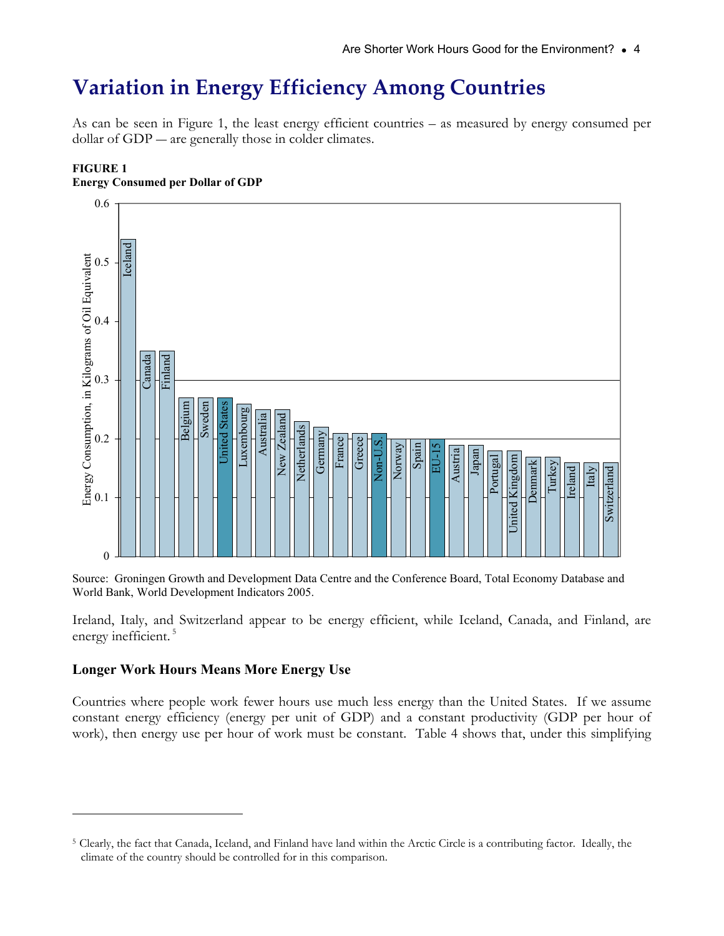### <span id="page-5-0"></span>**Variation in Energy Efficiency Among Countries**

As can be seen in Figure 1, the least energy efficient countries – as measured by energy consumed per dollar of GDP — are generally those in colder climates.



#### **FIGURE 1 Energy Consumed per Dollar of GDP**

Source: Groningen Growth and Development Data Centre and the Conference Board, Total Economy Database and World Bank, World Development Indicators 2005.

Ireland, Italy, and Switzerland appear to be energy efficient, while Iceland, Canada, and Finland, are energy inefficient.<sup>5</sup>

#### **Longer Work Hours Means More Energy Use**

 $\overline{a}$ 

Countries where people work fewer hours use much less energy than the United States. If we assume constant energy efficiency (energy per unit of GDP) and a constant productivity (GDP per hour of work), then energy use per hour of work must be constant. Table 4 shows that, under this simplifying

<sup>5</sup> Clearly, the fact that Canada, Iceland, and Finland have land within the Arctic Circle is a contributing factor. Ideally, the climate of the country should be controlled for in this comparison.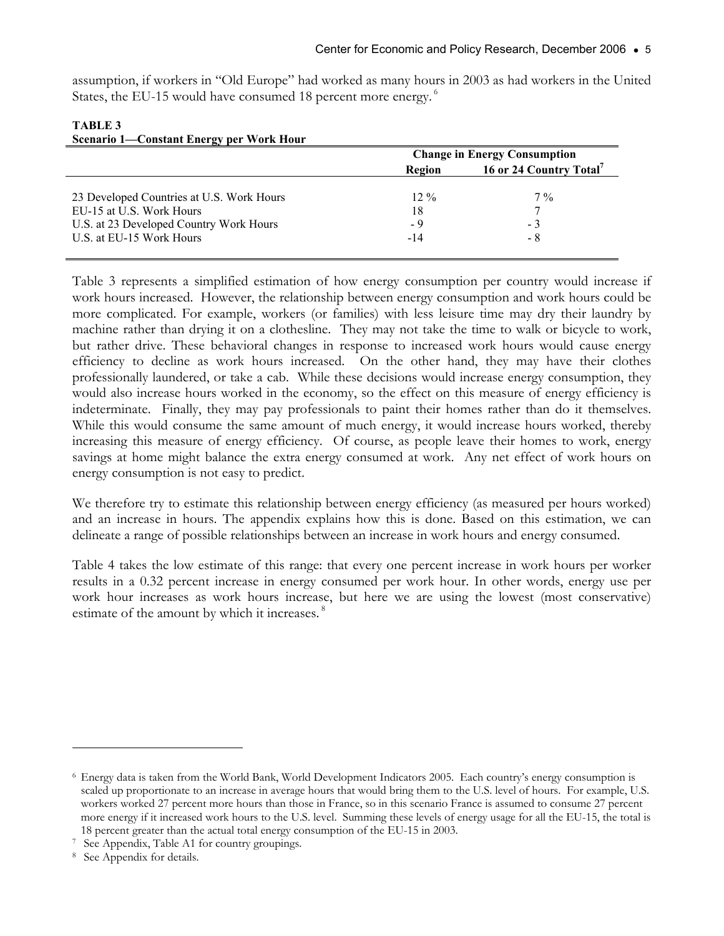assumption, if workers in "Old Europe" had worked as many hours in 2003 as had workers in the United States, the EU-15 would have consumed 18 percent more energy.<sup>6</sup>

| $\overline{S}$ Cenario 1—Constant Encrey per $\overline{S}$ vor a flour |                                               |       |  |
|-------------------------------------------------------------------------|-----------------------------------------------|-------|--|
|                                                                         | <b>Change in Energy Consumption</b>           |       |  |
|                                                                         | 16 or 24 Country Total <sup>7</sup><br>Region |       |  |
|                                                                         |                                               |       |  |
| 23 Developed Countries at U.S. Work Hours                               | $12\%$                                        | $7\%$ |  |
| EU-15 at U.S. Work Hours                                                | 18                                            |       |  |
| U.S. at 23 Developed Country Work Hours                                 | - 9                                           | - 3   |  |
| U.S. at EU-15 Work Hours                                                | $-14$                                         | - 8   |  |
|                                                                         |                                               |       |  |

#### **TABLE 3 Scenario 1—Constant Energy per Work Hour**

Table 3 represents a simplified estimation of how energy consumption per country would increase if work hours increased. However, the relationship between energy consumption and work hours could be more complicated. For example, workers (or families) with less leisure time may dry their laundry by machine rather than drying it on a clothesline. They may not take the time to walk or bicycle to work, but rather drive. These behavioral changes in response to increased work hours would cause energy efficiency to decline as work hours increased. On the other hand, they may have their clothes professionally laundered, or take a cab. While these decisions would increase energy consumption, they would also increase hours worked in the economy, so the effect on this measure of energy efficiency is indeterminate. Finally, they may pay professionals to paint their homes rather than do it themselves. While this would consume the same amount of much energy, it would increase hours worked, thereby increasing this measure of energy efficiency. Of course, as people leave their homes to work, energy savings at home might balance the extra energy consumed at work. Any net effect of work hours on energy consumption is not easy to predict.

We therefore try to estimate this relationship between energy efficiency (as measured per hours worked) and an increase in hours. The appendix explains how this is done. Based on this estimation, we can delineate a range of possible relationships between an increase in work hours and energy consumed.

Table 4 takes the low estimate of this range: that every one percent increase in work hours per worker results in a 0.32 percent increase in energy consumed per work hour. In other words, energy use per work hour increases as work hours increase, but here we are using the lowest (most conservative) estimate of the amount by which it increases.<sup>8</sup>

 $\overline{a}$ 

<sup>6</sup> Energy data is taken from the World Bank, World Development Indicators 2005. Each country's energy consumption is scaled up proportionate to an increase in average hours that would bring them to the U.S. level of hours. For example, U.S. workers worked 27 percent more hours than those in France, so in this scenario France is assumed to consume 27 percent more energy if it increased work hours to the U.S. level. Summing these levels of energy usage for all the EU-15, the total is 18 percent greater than the actual total energy consumption of the EU-15 in 2003. 7 See Appendix, Table A1 for country groupings.

<sup>8</sup> See Appendix for details.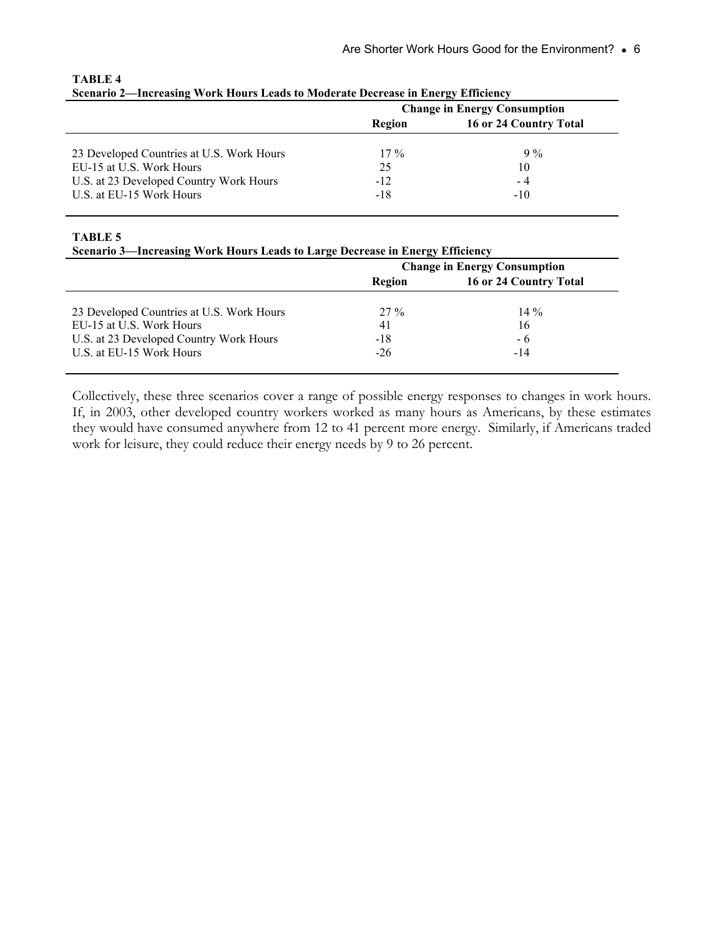| $\sigma$ because $\mu$ and $\sigma$ and $\sigma$ is the final subset of $\sigma$ in the fact that $\sigma$ is the final subset of $\sigma$ |       |  |  |  |
|--------------------------------------------------------------------------------------------------------------------------------------------|-------|--|--|--|
| <b>Change in Energy Consumption</b>                                                                                                        |       |  |  |  |
| 16 or 24 Country Total<br>Region                                                                                                           |       |  |  |  |
|                                                                                                                                            |       |  |  |  |
| $17\%$                                                                                                                                     | $9\%$ |  |  |  |
| 25                                                                                                                                         | 10    |  |  |  |
| $-12$                                                                                                                                      | - 4   |  |  |  |
| -18                                                                                                                                        | -10   |  |  |  |
|                                                                                                                                            |       |  |  |  |

#### **TABLE 4 Scenario 2—Increasing Work Hours Leads to Moderate Decrease in Energy Efficiency**

**TABLE 5** 

| Scenario 3-Increasing Work Hours Leads to Large Decrease in Energy Efficiency |  |  |  |  |
|-------------------------------------------------------------------------------|--|--|--|--|
|-------------------------------------------------------------------------------|--|--|--|--|

| $\sigma$ of the casing $\sigma$ of a figure $\sigma$ and $\sigma$ and $\sigma$ because in Energy Emergine |                                     |        |  |  |
|-----------------------------------------------------------------------------------------------------------|-------------------------------------|--------|--|--|
|                                                                                                           | <b>Change in Energy Consumption</b> |        |  |  |
|                                                                                                           | 16 or 24 Country Total<br>Region    |        |  |  |
|                                                                                                           |                                     |        |  |  |
| 23 Developed Countries at U.S. Work Hours                                                                 | $27\%$                              | $14\%$ |  |  |
| EU-15 at U.S. Work Hours                                                                                  | 41                                  | 16     |  |  |
| U.S. at 23 Developed Country Work Hours                                                                   | -18                                 | - 6    |  |  |
| U.S. at EU-15 Work Hours                                                                                  | $-26$                               | $-14$  |  |  |
|                                                                                                           |                                     |        |  |  |

Collectively, these three scenarios cover a range of possible energy responses to changes in work hours. If, in 2003, other developed country workers worked as many hours as Americans, by these estimates they would have consumed anywhere from 12 to 41 percent more energy. Similarly, if Americans traded work for leisure, they could reduce their energy needs by 9 to 26 percent.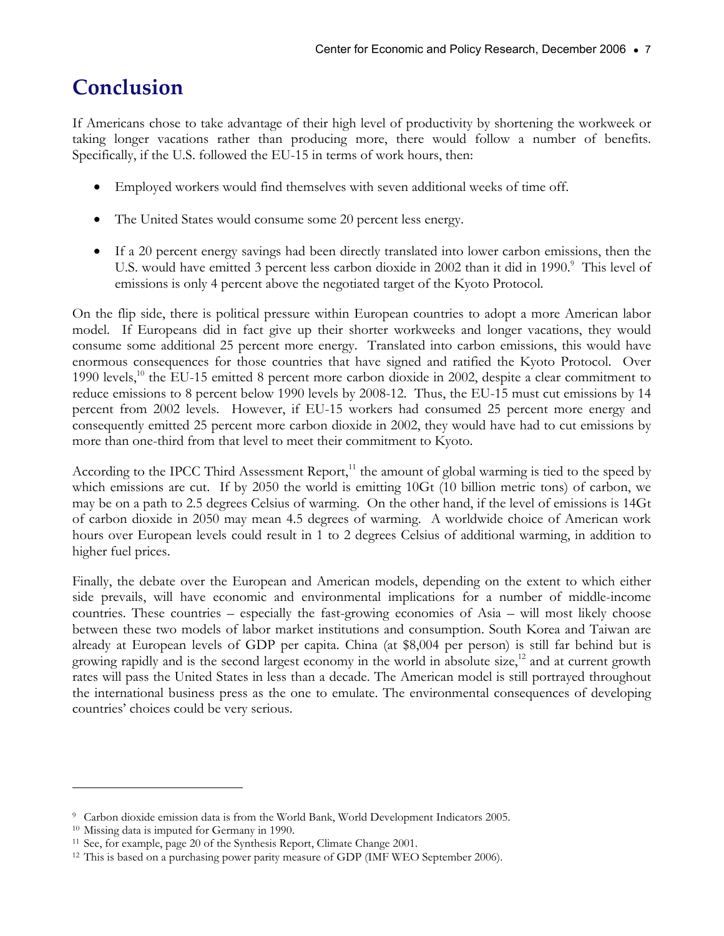### <span id="page-8-0"></span>**Conclusion**

If Americans chose to take advantage of their high level of productivity by shortening the workweek or taking longer vacations rather than producing more, there would follow a number of benefits. Specifically, if the U.S. followed the EU-15 in terms of work hours, then:

- Employed workers would find themselves with seven additional weeks of time off.
- The United States would consume some 20 percent less energy.
- If a 20 percent energy savings had been directly translated into lower carbon emissions, then the U.S. would have emitted 3 percent less carbon dioxide in 2002 than it did in 1990.<sup>9</sup> This level of emissions is only 4 percent above the negotiated target of the Kyoto Protocol.

On the flip side, there is political pressure within European countries to adopt a more American labor model. If Europeans did in fact give up their shorter workweeks and longer vacations, they would consume some additional 25 percent more energy. Translated into carbon emissions, this would have enormous consequences for those countries that have signed and ratified the Kyoto Protocol. Over 1990 levels,<sup>10</sup> the EU-15 emitted 8 percent more carbon dioxide in 2002, despite a clear commitment to reduce emissions to 8 percent below 1990 levels by 2008-12. Thus, the EU-15 must cut emissions by 14 percent from 2002 levels. However, if EU-15 workers had consumed 25 percent more energy and consequently emitted 25 percent more carbon dioxide in 2002, they would have had to cut emissions by more than one-third from that level to meet their commitment to Kyoto.

According to the IPCC Third Assessment Report, $11$  the amount of global warming is tied to the speed by which emissions are cut. If by 2050 the world is emitting 10Gt (10 billion metric tons) of carbon, we may be on a path to 2.5 degrees Celsius of warming. On the other hand, if the level of emissions is 14Gt of carbon dioxide in 2050 may mean 4.5 degrees of warming. A worldwide choice of American work hours over European levels could result in 1 to 2 degrees Celsius of additional warming, in addition to higher fuel prices.

Finally, the debate over the European and American models, depending on the extent to which either side prevails, will have economic and environmental implications for a number of middle-income countries. These countries – especially the fast-growing economies of Asia – will most likely choose between these two models of labor market institutions and consumption. South Korea and Taiwan are already at European levels of GDP per capita. China (at \$8,004 per person) is still far behind but is growing rapidly and is the second largest economy in the world in absolute size,<sup>12</sup> and at current growth rates will pass the United States in less than a decade. The American model is still portrayed throughout the international business press as the one to emulate. The environmental consequences of developing countries' choices could be very serious.

 $\overline{a}$ 

<sup>9</sup> Carbon dioxide emission data is from the World Bank, World Development Indicators 2005. 10 Missing data is imputed for Germany in 1990.

<sup>&</sup>lt;sup>11</sup> See, for example, page 20 of the Synthesis Report, Climate Change 2001.<br><sup>12</sup> This is based on a purchasing power parity measure of GDP (IMF WEO September 2006).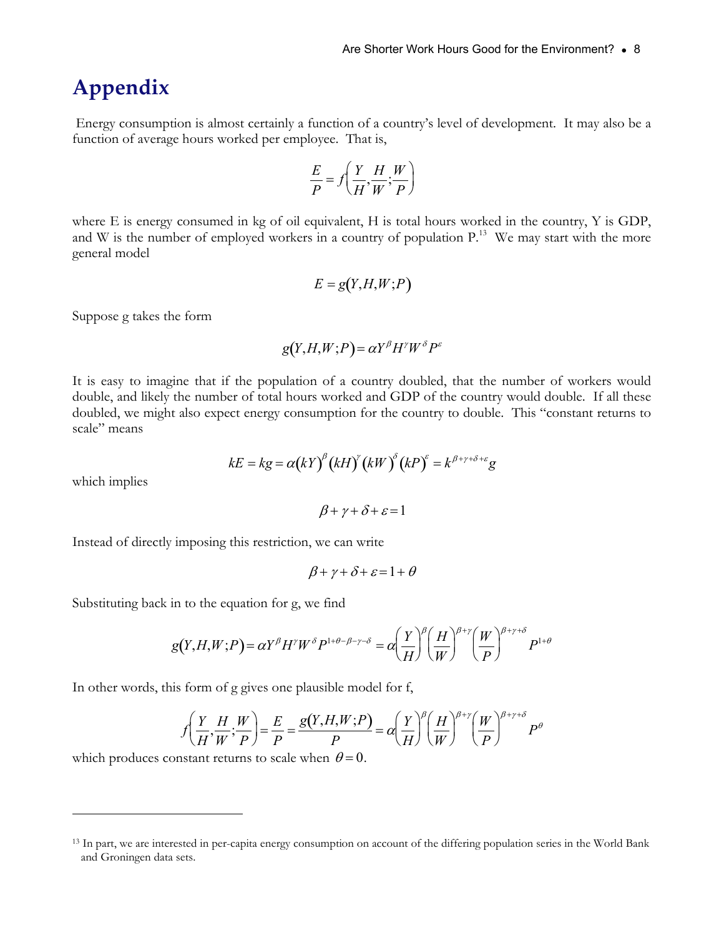### <span id="page-9-0"></span>**Appendix**

 Energy consumption is almost certainly a function of a country's level of development. It may also be a function of average hours worked per employee. That is,

$$
\frac{E}{P} = f\left(\frac{Y}{H}, \frac{H}{W}; \frac{W}{P}\right)
$$

where E is energy consumed in kg of oil equivalent, H is total hours worked in the country, Y is GDP, and W is the number of employed workers in a country of population P.<sup>13</sup> We may start with the more general model

$$
E = g(Y, H, W; P)
$$

Suppose g takes the form

$$
g(Y, H, W; P) = \alpha Y^{\beta} H^{\gamma} W^{\delta} P^{\varepsilon}
$$

It is easy to imagine that if the population of a country doubled, that the number of workers would double, and likely the number of total hours worked and GDP of the country would double. If all these doubled, we might also expect energy consumption for the country to double. This "constant returns to scale" means

$$
kE = kg = \alpha (kY)^{\beta} (kH)^{\gamma} (kW)^{\delta} (kP)^{\epsilon} = k^{\beta + \gamma + \delta + \epsilon} g
$$

which implies

 $\overline{a}$ 

 $\beta + \gamma + \delta + \varepsilon = 1$ 

Instead of directly imposing this restriction, we can write

$$
\beta + \gamma + \delta + \varepsilon = 1 + \theta
$$

Substituting back in to the equation for g, we find

$$
g(Y,H,W;P) = \alpha Y^{\beta} H^{\gamma} W^{\delta} P^{1+\theta-\beta-\gamma-\delta} = \alpha \left(\frac{Y}{H}\right)^{\beta} \left(\frac{H}{W}\right)^{\beta+\gamma} \left(\frac{W}{P}\right)^{\beta+\gamma+\delta} P^{1+\theta}
$$

In other words, this form of g gives one plausible model for f,

$$
f\left(\frac{Y}{H}, \frac{H}{W}; \frac{W}{P}\right) = \frac{E}{P} = \frac{g(Y, H, W; P)}{P} = \alpha \left(\frac{Y}{H}\right)^{\beta} \left(\frac{H}{W}\right)^{\beta + \gamma} \left(\frac{W}{P}\right)^{\beta + \gamma + \delta} P^{\theta}
$$

which produces constant returns to scale when  $\theta = 0$ .

<sup>&</sup>lt;sup>13</sup> In part, we are interested in per-capita energy consumption on account of the differing population series in the World Bank and Groningen data sets.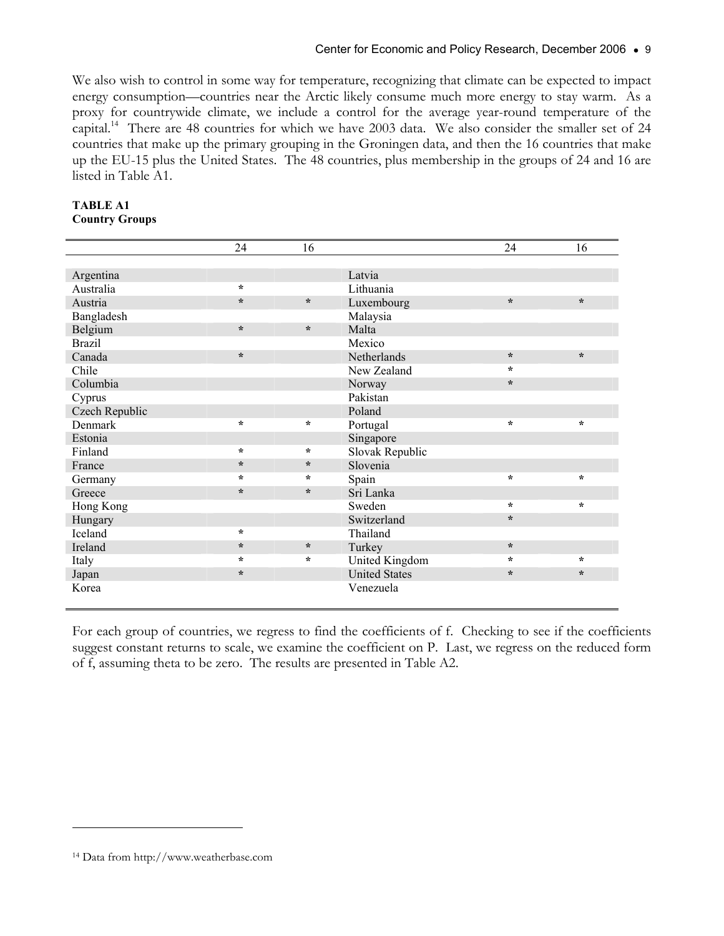We also wish to control in some way for temperature, recognizing that climate can be expected to impact energy consumption—countries near the Arctic likely consume much more energy to stay warm. As a proxy for countrywide climate, we include a control for the average year-round temperature of the capital.14 There are 48 countries for which we have 2003 data. We also consider the smaller set of 24 countries that make up the primary grouping in the Groningen data, and then the 16 countries that make up the EU-15 plus the United States. The 48 countries, plus membership in the groups of 24 and 16 are listed in Table A1.

|                | 24      | 16      |                      | 24      | 16      |
|----------------|---------|---------|----------------------|---------|---------|
|                |         |         |                      |         |         |
| Argentina      |         |         | Latvia               |         |         |
| Australia      | $\star$ |         | Lithuania            |         |         |
| Austria        | $\star$ | $\star$ | Luxembourg           | $\star$ | $\star$ |
| Bangladesh     |         |         | Malaysia             |         |         |
| Belgium        | $\star$ | $\star$ | Malta                |         |         |
| <b>Brazil</b>  |         |         | Mexico               |         |         |
| Canada         | $\star$ |         | Netherlands          | $\star$ | $\star$ |
| Chile          |         |         | New Zealand          | $\star$ |         |
| Columbia       |         |         | Norway               | $\star$ |         |
| Cyprus         |         |         | Pakistan             |         |         |
| Czech Republic |         |         | Poland               |         |         |
| Denmark        | $\star$ | $\star$ | Portugal             | $\star$ | $\star$ |
| Estonia        |         |         | Singapore            |         |         |
| Finland        | $\star$ | $\star$ | Slovak Republic      |         |         |
| France         | $\star$ | $\star$ | Slovenia             |         |         |
| Germany        | $\star$ | $\star$ | Spain                | $\star$ | $\star$ |
| Greece         | $\star$ | $\star$ | Sri Lanka            |         |         |
| Hong Kong      |         |         | Sweden               | $\star$ | $\star$ |
| Hungary        |         |         | Switzerland          | $\star$ |         |
| Iceland        | $\star$ |         | Thailand             |         |         |
| Ireland        | $\star$ | $\star$ | Turkey               | $\star$ |         |
| Italy          | $\star$ | $\star$ | United Kingdom       | $\star$ | $\star$ |
| Japan          | $\star$ |         | <b>United States</b> | $\star$ | $\star$ |
| Korea          |         |         | Venezuela            |         |         |

#### **TABLE A1 Country Groups**

For each group of countries, we regress to find the coefficients of f. Checking to see if the coefficients suggest constant returns to scale, we examine the coefficient on P. Last, we regress on the reduced form of f, assuming theta to be zero. The results are presented in Table A2.

 $\overline{a}$ 

<sup>14</sup> Data from http://www.weatherbase.com